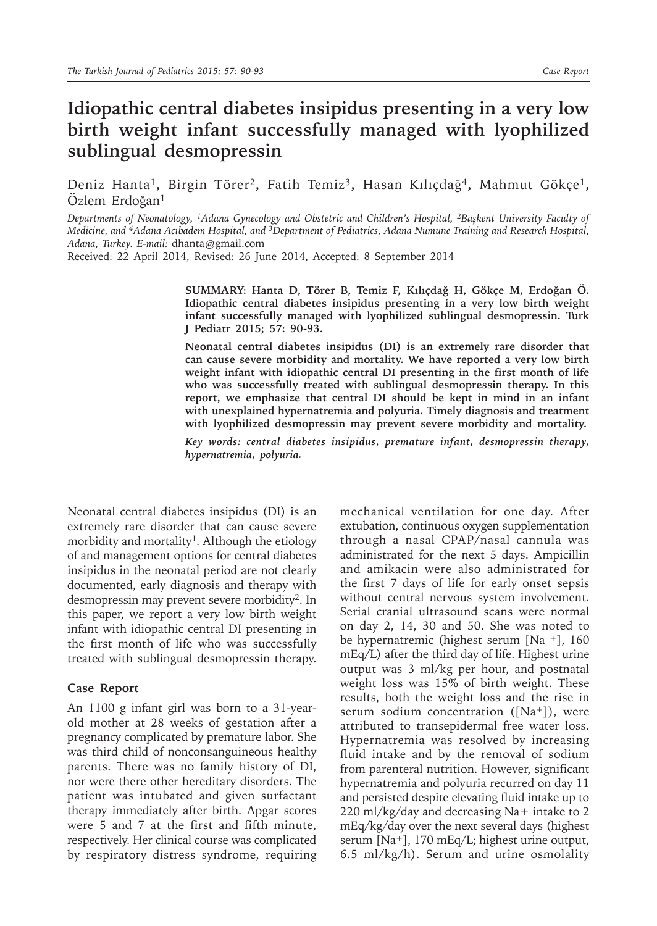## **Idiopathic central diabetes insipidus presenting in a very low birth weight infant successfully managed with lyophilized sublingual desmopressin**

Deniz Hanta1**,** Birgin Törer2**,** Fatih Temiz3**,** Hasan Kılıçdağ4**,** Mahmut Gökçe1**,**  Ozlem Erdoğan<sup>1</sup>

*Departments of Neonatology, 1Adana Gynecology and Obstetric and Children's Hospital, <sup>2</sup>Başkent University Faculty of Medicine, and 4Adana Acıbadem Hospital, and 3Department of Pediatrics, Adana Numune Training and Research Hospital, Adana, Turkey. E-mail:* dhanta@gmail.com

Received: 22 April 2014, Revised: 26 June 2014, Accepted: 8 September 2014

**SUMMARY: Hanta D, Törer B, Temiz F, Kılıçdağ H, Gökçe M, Erdoğan Ö. Idiopathic central diabetes insipidus presenting in a very low birth weight infant successfully managed with lyophilized sublingual desmopressin. Turk J Pediatr 2015; 57: 90-93.**

**Neonatal central diabetes insipidus (DI) is an extremely rare disorder that can cause severe morbidity and mortality. We have reported a very low birth weight infant with idiopathic central DI presenting in the first month of life who was successfully treated with sublingual desmopressin therapy. In this report, we emphasize that central DI should be kept in mind in an infant with unexplained hypernatremia and polyuria. Timely diagnosis and treatment with lyophilized desmopressin may prevent severe morbidity and mortality.** 

*Key words: central diabetes insipidus, premature infant, desmopressin therapy, hypernatremia, polyuria.*

Neonatal central diabetes insipidus (DI) is an extremely rare disorder that can cause severe morbidity and mortality<sup>1</sup>. Although the etiology of and management options for central diabetes insipidus in the neonatal period are not clearly documented, early diagnosis and therapy with desmopressin may prevent severe morbidity2. In this paper, we report a very low birth weight infant with idiopathic central DI presenting in the first month of life who was successfully treated with sublingual desmopressin therapy.

## **Case Report**

An 1100 g infant girl was born to a 31-yearold mother at 28 weeks of gestation after a pregnancy complicated by premature labor. She was third child of nonconsanguineous healthy parents. There was no family history of DI, nor were there other hereditary disorders. The patient was intubated and given surfactant therapy immediately after birth. Apgar scores were 5 and 7 at the first and fifth minute, respectively. Her clinical course was complicated by respiratory distress syndrome, requiring

mechanical ventilation for one day. After extubation, continuous oxygen supplementation through a nasal CPAP/nasal cannula was administrated for the next 5 days. Ampicillin and amikacin were also administrated for the first 7 days of life for early onset sepsis without central nervous system involvement. Serial cranial ultrasound scans were normal on day 2, 14, 30 and 50. She was noted to be hypernatremic (highest serum [Na <sup>+</sup>], 160 mEq/L) after the third day of life. Highest urine output was 3 ml/kg per hour, and postnatal weight loss was 15% of birth weight. These results, both the weight loss and the rise in serum sodium concentration ( $[Na^+]$ ), were attributed to transepidermal free water loss. Hypernatremia was resolved by increasing fluid intake and by the removal of sodium from parenteral nutrition. However, significant hypernatremia and polyuria recurred on day 11 and persisted despite elevating fluid intake up to 220 ml/kg/day and decreasing Na+ intake to 2 mEq/kg/day over the next several days (highest serum [Na<sup>+</sup>], 170 mEq/L; highest urine output, 6.5 ml/kg/h). Serum and urine osmolality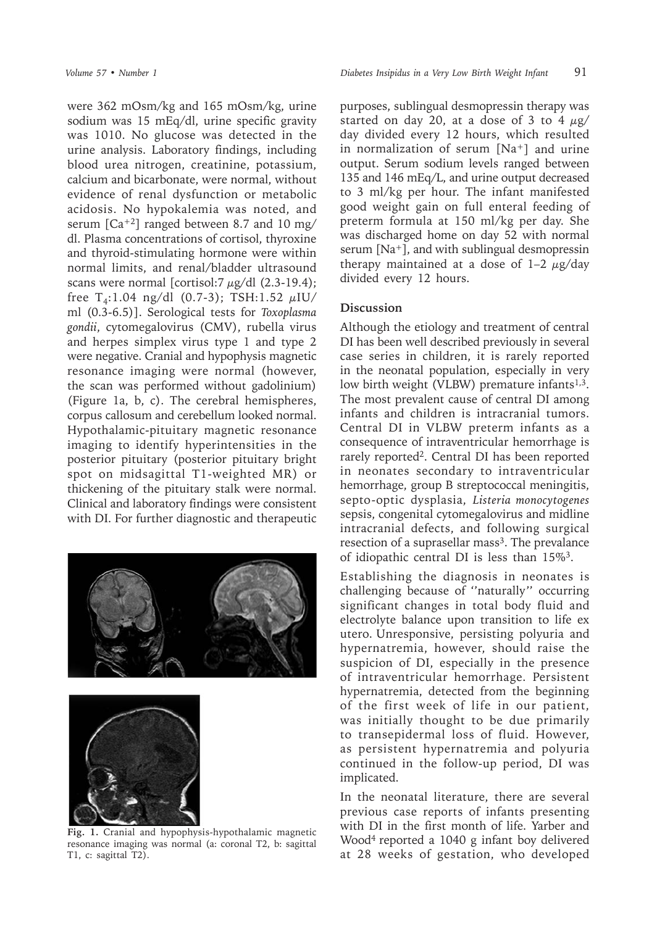were 362 mOsm/kg and 165 mOsm/kg, urine sodium was 15 mEq/dl, urine specific gravity was 1010. No glucose was detected in the urine analysis. Laboratory findings, including blood urea nitrogen, creatinine, potassium, calcium and bicarbonate, were normal, without evidence of renal dysfunction or metabolic acidosis. No hypokalemia was noted, and serum  $\lceil Ca^{+2} \rceil$  ranged between 8.7 and 10 mg/ dl. Plasma concentrations of cortisol, thyroxine and thyroid-stimulating hormone were within normal limits, and renal/bladder ultrasound scans were normal [cortisol:7  $\mu$ g/dl (2.3-19.4); free T<sub>4</sub>:1.04 ng/dl (0.7-3); TSH:1.52  $\mu$ IU/ ml (0.3-6.5)]. Serological tests for *Toxoplasma gondii*, cytomegalovirus (CMV), rubella virus and herpes simplex virus type 1 and type 2 were negative. Cranial and hypophysis magnetic resonance imaging were normal (however, the scan was performed without gadolinium) (Figure 1a, b, c). The cerebral hemispheres, corpus callosum and cerebellum looked normal. Hypothalamic-pituitary magnetic resonance imaging to identify hyperintensities in the posterior pituitary (posterior pituitary bright spot on midsagittal T1-weighted MR) or thickening of the pituitary stalk were normal. Clinical and laboratory findings were consistent with DI. For further diagnostic and therapeutic





**Fig. 1.** Cranial and hypophysis-hypothalamic magnetic resonance imaging was normal (a: coronal T2, b: sagittal T1, c: sagittal T2).

purposes, sublingual desmopressin therapy was started on day 20, at a dose of 3 to 4  $\mu$ g/ day divided every 12 hours, which resulted in normalization of serum [Na<sup>+</sup>] and urine output. Serum sodium levels ranged between 135 and 146 mEq/L, and urine output decreased to 3 ml/kg per hour. The infant manifested good weight gain on full enteral feeding of preterm formula at 150 ml/kg per day. She was discharged home on day 52 with normal serum [Na<sup>+</sup>], and with sublingual desmopressin therapy maintained at a dose of  $1-2 \mu g/day$ divided every 12 hours.

## **Discussion**

Although the etiology and treatment of central DI has been well described previously in several case series in children, it is rarely reported in the neonatal population, especially in very low birth weight (VLBW) premature infants<sup>1,3</sup>. The most prevalent cause of central DI among infants and children is intracranial tumors. Central DI in VLBW preterm infants as a consequence of intraventricular hemorrhage is rarely reported<sup>2</sup>. Central DI has been reported in neonates secondary to intraventricular hemorrhage, group B streptococcal meningitis, septo-optic dysplasia, *Listeria monocytogenes*  sepsis, congenital cytomegalovirus and midline intracranial defects, and following surgical resection of a suprasellar mass<sup>3</sup>. The prevalance of idiopathic central DI is less than 15%3.

Establishing the diagnosis in neonates is challenging because of ''naturally'' occurring significant changes in total body fluid and electrolyte balance upon transition to life ex utero. Unresponsive, persisting polyuria and hypernatremia, however, should raise the suspicion of DI, especially in the presence of intraventricular hemorrhage. Persistent hypernatremia, detected from the beginning of the first week of life in our patient, was initially thought to be due primarily to transepidermal loss of fluid. However, as persistent hypernatremia and polyuria continued in the follow-up period, DI was implicated.

In the neonatal literature, there are several previous case reports of infants presenting with DI in the first month of life. Yarber and Wood4 reported a 1040 g infant boy delivered at 28 weeks of gestation, who developed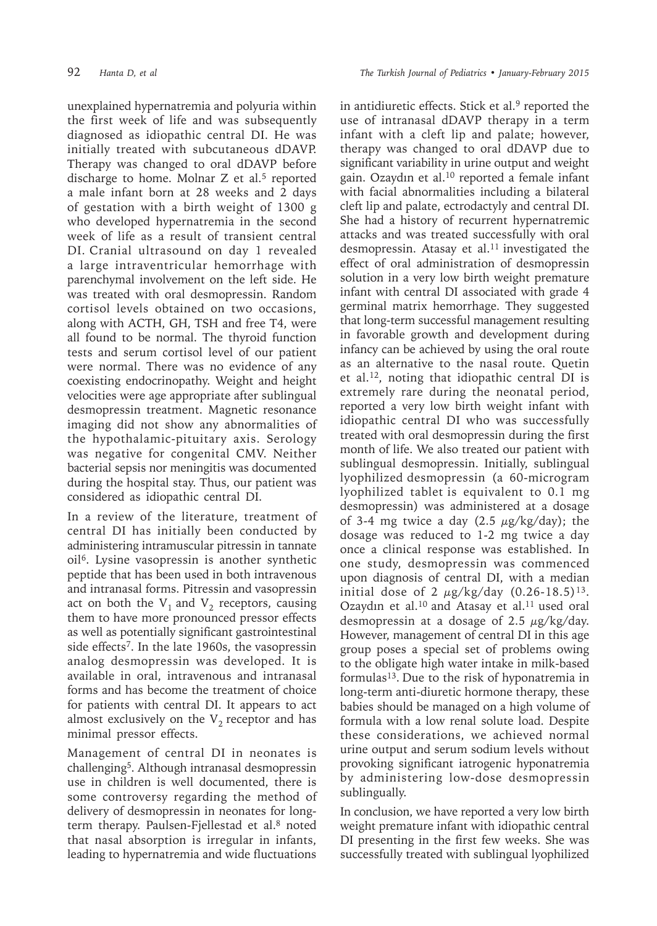unexplained hypernatremia and polyuria within the first week of life and was subsequently diagnosed as idiopathic central DI. He was initially treated with subcutaneous dDAVP. Therapy was changed to oral dDAVP before discharge to home. Molnar  $Z$  et al.<sup>5</sup> reported a male infant born at 28 weeks and 2 days of gestation with a birth weight of 1300 g who developed hypernatremia in the second week of life as a result of transient central DI. Cranial ultrasound on day 1 revealed a large intraventricular hemorrhage with parenchymal involvement on the left side. He was treated with oral desmopressin. Random cortisol levels obtained on two occasions, along with ACTH, GH, TSH and free T4, were all found to be normal. The thyroid function tests and serum cortisol level of our patient were normal. There was no evidence of any coexisting endocrinopathy. Weight and height velocities were age appropriate after sublingual desmopressin treatment. Magnetic resonance imaging did not show any abnormalities of the hypothalamic-pituitary axis. Serology was negative for congenital CMV. Neither bacterial sepsis nor meningitis was documented during the hospital stay. Thus, our patient was considered as idiopathic central DI.

In a review of the literature, treatment of central DI has initially been conducted by administering intramuscular pitressin in tannate oil<sup>6</sup>. Lysine vasopressin is another synthetic peptide that has been used in both intravenous and intranasal forms. Pitressin and vasopressin act on both the  $V_1$  and  $V_2$  receptors, causing them to have more pronounced pressor effects as well as potentially significant gastrointestinal side effects<sup>7</sup>. In the late 1960s, the vasopressin analog desmopressin was developed. It is available in oral, intravenous and intranasal forms and has become the treatment of choice for patients with central DI. It appears to act almost exclusively on the  $V_2$  receptor and has minimal pressor effects.

Management of central DI in neonates is challenging5. Although intranasal desmopressin use in children is well documented, there is some controversy regarding the method of delivery of desmopressin in neonates for longterm therapy. Paulsen-Fjellestad et al. $8$  noted that nasal absorption is irregular in infants, leading to hypernatremia and wide fluctuations

in antidiuretic effects. Stick et al.<sup>9</sup> reported the use of intranasal dDAVP therapy in a term infant with a cleft lip and palate; however, therapy was changed to oral dDAVP due to significant variability in urine output and weight gain. Ozaydın et al.<sup>10</sup> reported a female infant with facial abnormalities including a bilateral cleft lip and palate, ectrodactyly and central DI. She had a history of recurrent hypernatremic attacks and was treated successfully with oral desmopressin. Atasay et al.<sup>11</sup> investigated the effect of oral administration of desmopressin solution in a very low birth weight premature infant with central DI associated with grade 4 germinal matrix hemorrhage. They suggested that long-term successful management resulting in favorable growth and development during infancy can be achieved by using the oral route as an alternative to the nasal route. Quetin et al.12, noting that idiopathic central DI is extremely rare during the neonatal period, reported a very low birth weight infant with idiopathic central DI who was successfully treated with oral desmopressin during the first month of life. We also treated our patient with sublingual desmopressin. Initially, sublingual lyophilized desmopressin (a 60-microgram lyophilized tablet is equivalent to 0.1 mg desmopressin) was administered at a dosage of 3-4 mg twice a day  $(2.5 \mu g/kg/day)$ ; the dosage was reduced to 1-2 mg twice a day once a clinical response was established. In one study, desmopressin was commenced upon diagnosis of central DI, with a median initial dose of 2  $\mu$ g/kg/day (0.26-18.5)<sup>13</sup>. Ozaydın et al.<sup>10</sup> and Atasay et al.<sup>11</sup> used oral desmopressin at a dosage of 2.5  $\mu$ g/kg/day. However, management of central DI in this age group poses a special set of problems owing to the obligate high water intake in milk-based formulas13. Due to the risk of hyponatremia in long-term anti-diuretic hormone therapy, these babies should be managed on a high volume of formula with a low renal solute load. Despite these considerations, we achieved normal urine output and serum sodium levels without provoking significant iatrogenic hyponatremia by administering low-dose desmopressin sublingually.

In conclusion, we have reported a very low birth weight premature infant with idiopathic central DI presenting in the first few weeks. She was successfully treated with sublingual lyophilized